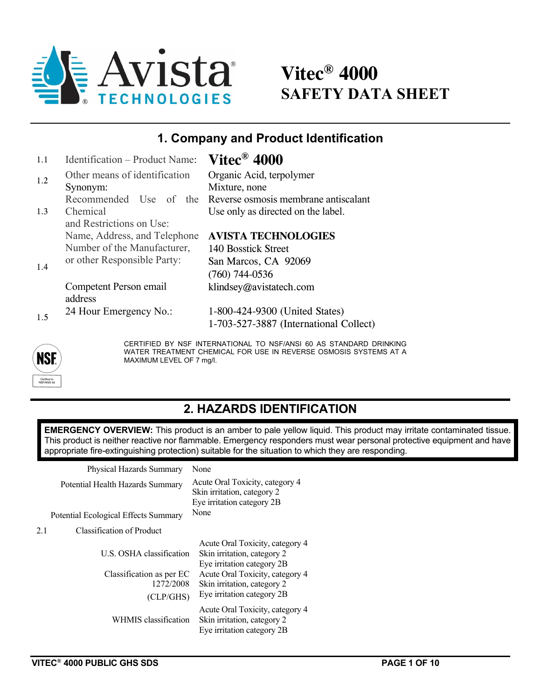

# **Vitec® 4000 SAFETY DATA SHEET**

## **1. Company and Product Identification**

| 1.1 | Identification – Product Name: | Vitec $^{\circledR}$ 4000              |
|-----|--------------------------------|----------------------------------------|
| 1.2 | Other means of identification  | Organic Acid, terpolymer               |
|     | Synonym:                       | Mixture, none                          |
|     | Recommended Use of the         | Reverse osmosis membrane antiscalant   |
| 1.3 | Chemical                       | Use only as directed on the label.     |
|     | and Restrictions on Use:       |                                        |
|     | Name, Address, and Telephone   | <b>AVISTA TECHNOLOGIES</b>             |
|     | Number of the Manufacturer,    | 140 Bosstick Street                    |
| 1.4 | or other Responsible Party:    | San Marcos, CA 92069                   |
|     |                                | $(760)$ 744-0536                       |
|     | Competent Person email         | klindsey@avistatech.com                |
|     | address                        |                                        |
|     | 24 Hour Emergency No.:         | 1-800-424-9300 (United States)         |
| 1.5 |                                | 1-703-527-3887 (International Collect) |
|     |                                |                                        |

CERTIFIED BY NSF INTERNATIONAL TO NSF/ANSI 60 AS STANDARD DRINKING WATER TREATMENT CHEMICAL FOR USE IN REVERSE OSMOSIS SYSTEMS AT A MAXIMUM LEVEL OF 7 mg/l.

### **2. HAZARDS IDENTIFICATION**

**EMERGENCY OVERVIEW:** This product is an amber to pale yellow liquid. This product may irritate contaminated tissue. This product is neither reactive nor flammable. Emergency responders must wear personal protective equipment and have appropriate fire-extinguishing protection) suitable for the situation to which they are responding.

Physical Hazards Summary None

|     | Potential Health Hazards Summary     | Acute Oral Toxicity, category 4<br>Skin irritation, category 2<br>Eye irritation category 2B |
|-----|--------------------------------------|----------------------------------------------------------------------------------------------|
|     | Potential Ecological Effects Summary | None                                                                                         |
| 2.1 | Classification of Product            |                                                                                              |
|     | U.S. OSHA classification             | Acute Oral Toxicity, category 4<br>Skin irritation, category 2<br>Eye irritation category 2B |
|     | Classification as per EC             | Acute Oral Toxicity, category 4                                                              |
|     | 1272/2008                            | Skin irritation, category 2                                                                  |
|     | (CLP/GHS)                            | Eye irritation category 2B                                                                   |
|     | WHMIS classification                 | Acute Oral Toxicity, category 4<br>Skin irritation, category 2<br>Eye irritation category 2B |

**NSE**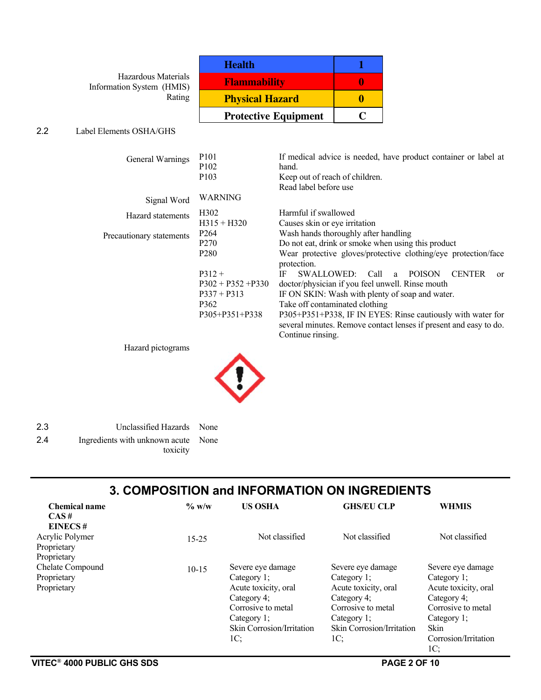Hazardous Materials Information System (HMIS) Rating

| <b>Health</b>               |  |
|-----------------------------|--|
| <b>Flammability</b>         |  |
| <b>Physical Hazard</b>      |  |
| <b>Protective Equipment</b> |  |

#### 2.2 Label Elements OSHA/GHS

| General Warnings         | P <sub>10</sub> 1<br>P <sub>102</sub> | If medical advice is needed, have product container or label at<br>hand.                                                                              |  |  |  |  |
|--------------------------|---------------------------------------|-------------------------------------------------------------------------------------------------------------------------------------------------------|--|--|--|--|
|                          | P <sub>10</sub> 3                     | Keep out of reach of children.                                                                                                                        |  |  |  |  |
|                          |                                       | Read label before use                                                                                                                                 |  |  |  |  |
| Signal Word              | <b>WARNING</b>                        |                                                                                                                                                       |  |  |  |  |
| Hazard statements        | H <sub>3</sub> 02                     | Harmful if swallowed                                                                                                                                  |  |  |  |  |
|                          | $H315 + H320$                         | Causes skin or eye irritation                                                                                                                         |  |  |  |  |
| Precautionary statements | P <sub>264</sub>                      | Wash hands thoroughly after handling                                                                                                                  |  |  |  |  |
|                          | P <sub>270</sub>                      | Do not eat, drink or smoke when using this product                                                                                                    |  |  |  |  |
|                          | P <sub>280</sub>                      | Wear protective gloves/protective clothing/eye protection/face<br>protection.                                                                         |  |  |  |  |
|                          | $P312 +$                              | - Call<br><b>POISON</b><br><b>CENTER</b><br>IF<br>SWALLOWED:<br>a.<br>$\alpha$                                                                        |  |  |  |  |
|                          | $P302 + P352 + P330$                  | doctor/physician if you feel unwell. Rinse mouth                                                                                                      |  |  |  |  |
|                          | $P337 + P313$                         | IF ON SKIN: Wash with plenty of soap and water.                                                                                                       |  |  |  |  |
|                          | P <sub>362</sub>                      | Take off contaminated clothing                                                                                                                        |  |  |  |  |
|                          | P305+P351+P338                        | P305+P351+P338, IF IN EYES: Rinse cautiously with water for<br>several minutes. Remove contact lenses if present and easy to do.<br>Continue rinsing. |  |  |  |  |

Hazard pictograms



| 2.3 | Unclassified Hazards None           |  |
|-----|-------------------------------------|--|
| 24  | Ingredients with unknown acute None |  |
|     | toxicity                            |  |

#### **3. COMPOSITION and INFORMATION ON INGREDIENTS**

| <b>Chemical name</b> | $\%$ w/w  | <b>US OSHA</b>            | <b>GHS/EU CLP</b>         | <b>WHMIS</b>         |
|----------------------|-----------|---------------------------|---------------------------|----------------------|
| CAS#                 |           |                           |                           |                      |
| <b>EINECS#</b>       |           |                           |                           |                      |
| Acrylic Polymer      | $15 - 25$ | Not classified            | Not classified            | Not classified       |
| Proprietary          |           |                           |                           |                      |
| Proprietary          |           |                           |                           |                      |
| Chelate Compound     | $10 - 15$ | Severe eye damage         | Severe eye damage         | Severe eye damage    |
| Proprietary          |           | Category 1;               | Category 1;               | Category 1;          |
| Proprietary          |           | Acute toxicity, oral      | Acute toxicity, oral      | Acute toxicity, oral |
|                      |           | Category 4;               | Category 4;               | Category 4;          |
|                      |           | Corrosive to metal        | Corrosive to metal        | Corrosive to metal   |
|                      |           | Category 1;               | Category 1;               | Category 1;          |
|                      |           | Skin Corrosion/Irritation | Skin Corrosion/Irritation | Skin                 |
|                      |           | 1C;                       | 1C:                       | Corrosion/Irritation |
|                      |           |                           |                           | 1C:                  |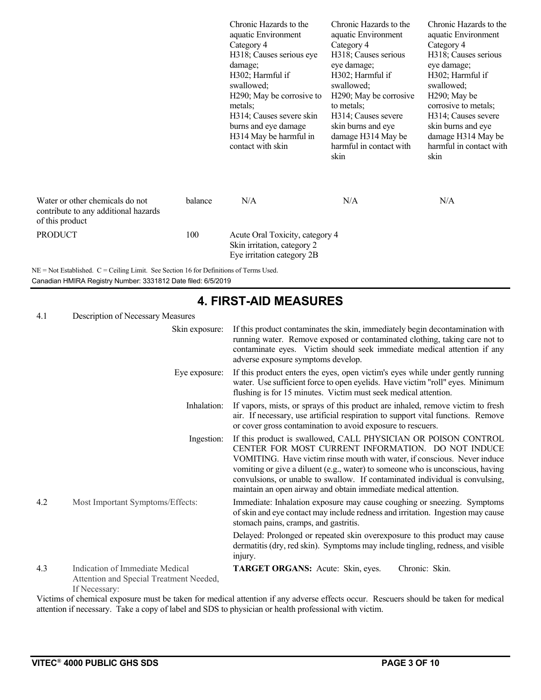| Water or other chemicals do not<br>contribute to any additional hazards<br>of this product | balance | Chronic Hazards to the<br>aquatic Environment<br>Category 4<br>H318; Causes serious eye<br>damage;<br>H302; Harmful if<br>swallowed;<br>H <sub>290</sub> ; May be corrosive to<br>metals;<br>H314; Causes severe skin<br>burns and eye damage<br>H314 May be harmful in<br>contact with skin<br>N/A | Chronic Hazards to the<br>aquatic Environment<br>Category 4<br>H318; Causes serious<br>eye damage;<br>H302; Harmful if<br>swallowed;<br>H <sub>290</sub> ; May be corrosive<br>to metals;<br>H314; Causes severe<br>skin burns and eye<br>damage H314 May be<br>harmful in contact with<br>skin<br>N/A | Chronic Hazards to the<br>aquatic Environment<br>Category 4<br>H318; Causes serious<br>eye damage;<br>H302; Harmful if<br>swallowed;<br>H <sub>290</sub> ; May be<br>corrosive to metals;<br>H314; Causes severe<br>skin burns and eye<br>damage H314 May be<br>harmful in contact with<br>skin<br>N/A |
|--------------------------------------------------------------------------------------------|---------|-----------------------------------------------------------------------------------------------------------------------------------------------------------------------------------------------------------------------------------------------------------------------------------------------------|--------------------------------------------------------------------------------------------------------------------------------------------------------------------------------------------------------------------------------------------------------------------------------------------------------|--------------------------------------------------------------------------------------------------------------------------------------------------------------------------------------------------------------------------------------------------------------------------------------------------------|
| <b>PRODUCT</b>                                                                             | 100     | Acute Oral Toxicity, category 4<br>Skin irritation, category 2<br>Eye irritation category 2B                                                                                                                                                                                                        |                                                                                                                                                                                                                                                                                                        |                                                                                                                                                                                                                                                                                                        |

NE = Not Established. C = Ceiling Limit. See Section 16 for Definitions of Terms Used. Canadian HMIRA Registry Number: 3331812 Date filed: 6/5/2019

|     |                                                                                             | 4. FIRST-AID MEASURES                                                                                                                                                                                                                                                                                                                                                                                                                 |
|-----|---------------------------------------------------------------------------------------------|---------------------------------------------------------------------------------------------------------------------------------------------------------------------------------------------------------------------------------------------------------------------------------------------------------------------------------------------------------------------------------------------------------------------------------------|
| 4.1 | Description of Necessary Measures                                                           |                                                                                                                                                                                                                                                                                                                                                                                                                                       |
|     | Skin exposure:                                                                              | If this product contaminates the skin, immediately begin decontamination with<br>running water. Remove exposed or contaminated clothing, taking care not to<br>contaminate eyes. Victim should seek immediate medical attention if any<br>adverse exposure symptoms develop.                                                                                                                                                          |
|     | Eye exposure:                                                                               | If this product enters the eyes, open victim's eyes while under gently running<br>water. Use sufficient force to open eyelids. Have victim "roll" eyes. Minimum<br>flushing is for 15 minutes. Victim must seek medical attention.                                                                                                                                                                                                    |
|     | Inhalation:                                                                                 | If vapors, mists, or sprays of this product are inhaled, remove victim to fresh<br>air. If necessary, use artificial respiration to support vital functions. Remove<br>or cover gross contamination to avoid exposure to rescuers.                                                                                                                                                                                                    |
|     | Ingestion:                                                                                  | If this product is swallowed, CALL PHYSICIAN OR POISON CONTROL<br>CENTER FOR MOST CURRENT INFORMATION. DO NOT INDUCE<br>VOMITING. Have victim rinse mouth with water, if conscious. Never induce<br>vomiting or give a diluent (e.g., water) to someone who is unconscious, having<br>convulsions, or unable to swallow. If contaminated individual is convulsing,<br>maintain an open airway and obtain immediate medical attention. |
| 4.2 | Most Important Symptoms/Effects:                                                            | Immediate: Inhalation exposure may cause coughing or sneezing. Symptoms<br>of skin and eye contact may include redness and irritation. Ingestion may cause<br>stomach pains, cramps, and gastritis.                                                                                                                                                                                                                                   |
|     |                                                                                             | Delayed: Prolonged or repeated skin overexposure to this product may cause<br>dermatitis (dry, red skin). Symptoms may include tingling, redness, and visible<br>injury.                                                                                                                                                                                                                                                              |
| 4.3 | Indication of Immediate Medical<br>Attention and Special Treatment Needed,<br>If Necessary: | Chronic: Skin.<br>TARGET ORGANS: Acute: Skin, eyes.                                                                                                                                                                                                                                                                                                                                                                                   |
|     |                                                                                             | Victime of chamical avecaure must be taken for modical ettertion if any advance offects equiver. Desguare should be taken for modical                                                                                                                                                                                                                                                                                                 |

**4. FIRST-AID MEASURES**

Victims of chemical exposure must be taken for medical attention if any adverse effects occur. Rescuers should be taken for medical attention if necessary. Take a copy of label and SDS to physician or health professional with victim.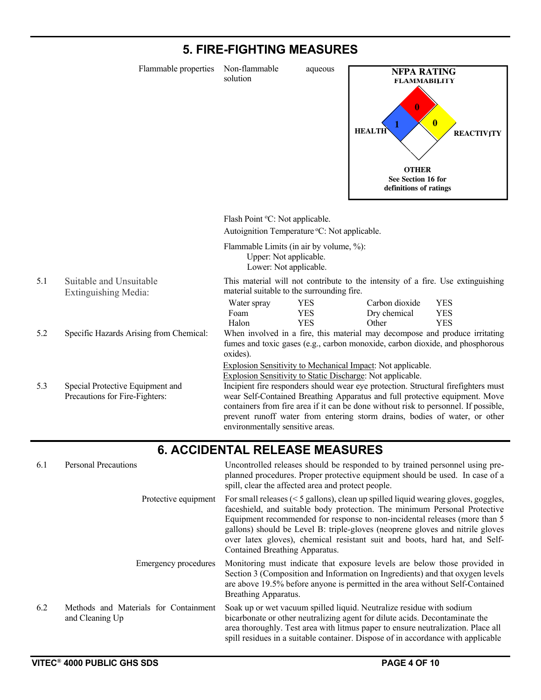#### **5. FIRE-FIGHTING MEASURES**

 Flammable properties Non-flammable aqueous solution Flash Point °C: Not applicable. Autoignition Temperature °C: Not applicable. Flammable Limits (in air by volume, %): Upper: Not applicable. Lower: Not applicable. 5.1 Suitable and Unsuitable Extinguishing Media: This material will not contribute to the intensity of a fire. Use extinguishing material suitable to the surrounding fire. Water spray YES Carbon dioxide YES Foam YES Dry chemical YES Halon YES Other YES 5.2 Specific Hazards Arising from Chemical: When involved in a fire, this material may decompose and produce irritating fumes and toxic gases (e.g., carbon monoxide, carbon dioxide, and phosphorous oxides). Explosion Sensitivity to Mechanical Impact: Not applicable. Explosion Sensitivity to Static Discharge: Not applicable. 5.3 Special Protective Equipment and Precautions for Fire-Fighters: Incipient fire responders should wear eye protection. Structural firefighters must wear Self-Contained Breathing Apparatus and full protective equipment. Move containers from fire area if it can be done without risk to personnel. If possible, prevent runoff water from entering storm drains, bodies of water, or other environmentally sensitive areas. **1 HEALTH FLAMMABILITY REACTIVITY OTHER See Section 16 for definitions of ratings NFPA RATING 0 0** 

#### **6. ACCIDENTAL RELEASE MEASURES**

| 6.1 | <b>Personal Precautions</b>                              | Uncontrolled releases should be responded to by trained personnel using pre-<br>planned procedures. Proper protective equipment should be used. In case of a<br>spill, clear the affected area and protect people.                                                                                                                                                                                                                               |
|-----|----------------------------------------------------------|--------------------------------------------------------------------------------------------------------------------------------------------------------------------------------------------------------------------------------------------------------------------------------------------------------------------------------------------------------------------------------------------------------------------------------------------------|
|     | Protective equipment                                     | For small releases $(< 5$ gallons), clean up spilled liquid wearing gloves, goggles,<br>faceshield, and suitable body protection. The minimum Personal Protective<br>Equipment recommended for response to non-incidental releases (more than 5<br>gallons) should be Level B: triple-gloves (neoprene gloves and nitrile gloves<br>over latex gloves), chemical resistant suit and boots, hard hat, and Self-<br>Contained Breathing Apparatus. |
|     | <b>Emergency procedures</b>                              | Monitoring must indicate that exposure levels are below those provided in<br>Section 3 (Composition and Information on Ingredients) and that oxygen levels<br>are above 19.5% before anyone is permitted in the area without Self-Contained<br>Breathing Apparatus.                                                                                                                                                                              |
| 6.2 | Methods and Materials for Containment<br>and Cleaning Up | Soak up or wet vacuum spilled liquid. Neutralize residue with sodium<br>bicarbonate or other neutralizing agent for dilute acids. Decontaminate the<br>area thoroughly. Test area with litmus paper to ensure neutralization. Place all<br>spill residues in a suitable container. Dispose of in accordance with applicable                                                                                                                      |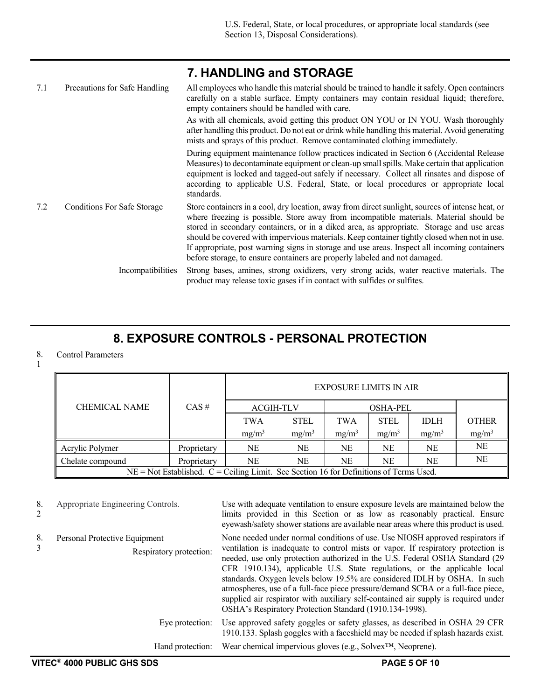|     |                                    | 7. HANDLING and STORAGE                                                                                                                                                                                                                                                                                                                                                                                                                                                                                                                                              |
|-----|------------------------------------|----------------------------------------------------------------------------------------------------------------------------------------------------------------------------------------------------------------------------------------------------------------------------------------------------------------------------------------------------------------------------------------------------------------------------------------------------------------------------------------------------------------------------------------------------------------------|
| 7.1 | Precautions for Safe Handling      | All employees who handle this material should be trained to handle it safely. Open containers<br>carefully on a stable surface. Empty containers may contain residual liquid; therefore,<br>empty containers should be handled with care.                                                                                                                                                                                                                                                                                                                            |
|     |                                    | As with all chemicals, avoid getting this product ON YOU or IN YOU. Wash thoroughly<br>after handling this product. Do not eat or drink while handling this material. Avoid generating<br>mists and sprays of this product. Remove contaminated clothing immediately.                                                                                                                                                                                                                                                                                                |
|     |                                    | During equipment maintenance follow practices indicated in Section 6 (Accidental Release<br>Measures) to decontaminate equipment or clean-up small spills. Make certain that application<br>equipment is locked and tagged-out safely if necessary. Collect all rinsates and dispose of<br>according to applicable U.S. Federal, State, or local procedures or appropriate local<br>standards.                                                                                                                                                                       |
| 7.2 | <b>Conditions For Safe Storage</b> | Store containers in a cool, dry location, away from direct sunlight, sources of intense heat, or<br>where freezing is possible. Store away from incompatible materials. Material should be<br>stored in secondary containers, or in a diked area, as appropriate. Storage and use areas<br>should be covered with impervious materials. Keep container tightly closed when not in use.<br>If appropriate, post warning signs in storage and use areas. Inspect all incoming containers<br>before storage, to ensure containers are properly labeled and not damaged. |
|     | Incompatibilities                  | Strong bases, amines, strong oxidizers, very strong acids, water reactive materials. The<br>product may release toxic gases if in contact with sulfides or sulfites.                                                                                                                                                                                                                                                                                                                                                                                                 |

### **8. EXPOSURE CONTROLS - PERSONAL PROTECTION**

#### 8. Control Parameters

| ۰ |  |
|---|--|
|   |  |
|   |  |

|                                                                                            |             | <b>EXPOSURE LIMITS IN AIR</b> |                  |           |                   |             |              |
|--------------------------------------------------------------------------------------------|-------------|-------------------------------|------------------|-----------|-------------------|-------------|--------------|
| <b>CHEMICAL NAME</b>                                                                       | $CAS \#$    |                               | <b>ACGIH-TLV</b> |           | <b>OSHA-PEL</b>   |             |              |
|                                                                                            |             | <b>TWA</b>                    | <b>STEL</b>      | TWA       | <b>STEL</b>       | <b>IDLH</b> | <b>OTHER</b> |
|                                                                                            |             | $mg/m^3$                      | $mg/m^3$         | $mg/m^3$  | mg/m <sup>3</sup> | $mg/m^3$    | $mg/m^3$     |
| Acrylic Polymer                                                                            | Proprietary | NE                            | <b>NE</b>        | <b>NE</b> | <b>NE</b>         | NE          | NE           |
| Chelate compound                                                                           | Proprietary | NE                            | NE               | NE        | NE                | NE          | NE           |
| $NE = Not$ Established. $C = Ceiling$ Limit. See Section 16 for Definitions of Terms Used. |             |                               |                  |           |                   |             |              |

8. 2 Appropriate Engineering Controls. Use with adequate ventilation to ensure exposure levels are maintained below the limits provided in this Section or as low as reasonably practical. Ensure eyewash/safety shower stations are available near areas where this product is used. 8. 3 Personal Protective Equipment Respiratory protection: None needed under normal conditions of use. Use NIOSH approved respirators if ventilation is inadequate to control mists or vapor. If respiratory protection is needed, use only protection authorized in the U.S. Federal OSHA Standard (29 CFR 1910.134), applicable U.S. State regulations, or the applicable local standards. Oxygen levels below 19.5% are considered IDLH by OSHA. In such atmospheres, use of a full-face piece pressure/demand SCBA or a full-face piece, supplied air respirator with auxiliary self-contained air supply is required under OSHA's Respiratory Protection Standard (1910.134-1998). Eye protection: Use approved safety goggles or safety glasses, as described in OSHA 29 CFR 1910.133. Splash goggles with a faceshield may be needed if splash hazards exist. Hand protection: Wear chemical impervious gloves (e.g., Solvex™, Neoprene).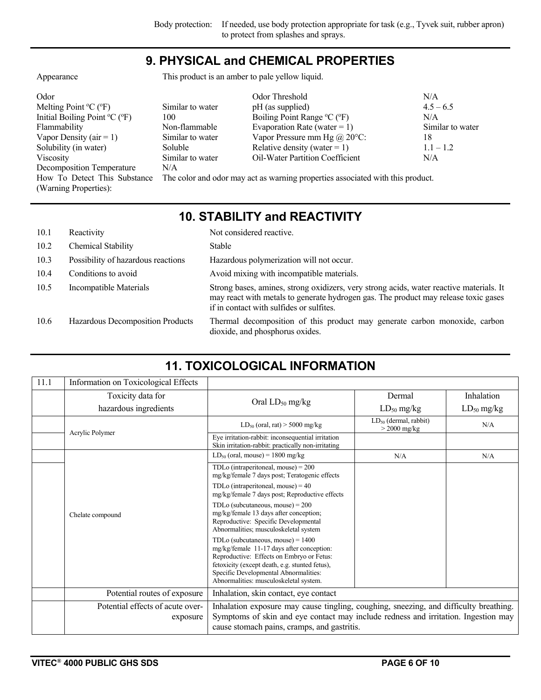#### **9. PHYSICAL and CHEMICAL PROPERTIES**

Appearance This product is an amber to pale yellow liquid.

| Odor                                                  |                  | Odor Threshold                                                                 | N/A              |
|-------------------------------------------------------|------------------|--------------------------------------------------------------------------------|------------------|
| Melting Point $\rm{^{\circ}C}$ ( $\rm{^{\circ}F}$ )   | Similar to water | pH (as supplied)                                                               | $4.5 - 6.5$      |
| Initial Boiling Point ${}^{\circ}C$ ( ${}^{\circ}F$ ) | 100              | Boiling Point Range °C (°F)                                                    | N/A              |
| Flammability                                          | Non-flammable    | Evaporation Rate (water = 1)                                                   | Similar to water |
| Vapor Density ( $air = 1$ )                           | Similar to water | Vapor Pressure mm Hg $(a)$ 20 $\degree$ C:                                     | 18               |
| Solubility (in water)                                 | Soluble          | Relative density (water = 1)                                                   | $1.1 - 1.2$      |
| Viscosity                                             | Similar to water | Oil-Water Partition Coefficient                                                | N/A              |
| Decomposition Temperature                             | N/A              |                                                                                |                  |
| How To Detect This Substance                          |                  | The color and odor may act as warning properties associated with this product. |                  |
| (Warning Properties):                                 |                  |                                                                                |                  |

### **10. STABILITY and REACTIVITY**

| 10.1 | Reactivity                         | Not considered reactive.                                                                                                                                                                                                   |
|------|------------------------------------|----------------------------------------------------------------------------------------------------------------------------------------------------------------------------------------------------------------------------|
| 10.2 | Chemical Stability                 | Stable                                                                                                                                                                                                                     |
| 10.3 | Possibility of hazardous reactions | Hazardous polymerization will not occur.                                                                                                                                                                                   |
| 10.4 | Conditions to avoid                | Avoid mixing with incompatible materials.                                                                                                                                                                                  |
| 10.5 | Incompatible Materials             | Strong bases, amines, strong oxidizers, very strong acids, water reactive materials. It<br>may react with metals to generate hydrogen gas. The product may release toxic gases<br>if in contact with sulfides or sulfites. |
| 10.6 | Hazardous Decomposition Products   | Thermal decomposition of this product may generate carbon monoxide, carbon<br>dioxide, and phosphorus oxides.                                                                                                              |

| 11.1             | Information on Toxicological Effects                                                                                                                          |                                                                                                                                                                                                                                                                    |                                              |                 |
|------------------|---------------------------------------------------------------------------------------------------------------------------------------------------------------|--------------------------------------------------------------------------------------------------------------------------------------------------------------------------------------------------------------------------------------------------------------------|----------------------------------------------|-----------------|
|                  | Toxicity data for                                                                                                                                             |                                                                                                                                                                                                                                                                    | Dermal                                       | Inhalation      |
|                  | hazardous ingredients                                                                                                                                         | Oral $LD_{50}$ mg/kg                                                                                                                                                                                                                                               | $LD_{50}$ mg/kg                              | $LD_{50}$ mg/kg |
|                  |                                                                                                                                                               | $LD_{50}$ (oral, rat) > 5000 mg/kg                                                                                                                                                                                                                                 | $LD_{50}$ (dermal, rabbit)<br>$>$ 2000 mg/kg | N/A             |
|                  | Acrylic Polymer                                                                                                                                               | Eye irritation-rabbit: inconsequential irritation<br>Skin irritation-rabbit: practically non-irritating                                                                                                                                                            |                                              |                 |
|                  |                                                                                                                                                               | $LD_{50}$ (oral, mouse) = 1800 mg/kg                                                                                                                                                                                                                               | N/A                                          | N/A             |
|                  |                                                                                                                                                               | TDLo (intraperitoneal, mouse) = $200$<br>mg/kg/female 7 days post; Teratogenic effects                                                                                                                                                                             |                                              |                 |
|                  |                                                                                                                                                               | TDLo (intraperitoneal, mouse) = $40$<br>mg/kg/female 7 days post; Reproductive effects                                                                                                                                                                             |                                              |                 |
| Chelate compound | TDLo (subcutaneous, mouse) = $200$<br>mg/kg/female 13 days after conception;<br>Reproductive: Specific Developmental<br>Abnormalities; musculoskeletal system |                                                                                                                                                                                                                                                                    |                                              |                 |
|                  |                                                                                                                                                               | TDLo (subcutaneous, mouse) = $1400$<br>mg/kg/female 11-17 days after conception:<br>Reproductive: Effects on Embryo or Fetus:<br>fetoxicity (except death, e.g. stunted fetus),<br>Specific Developmental Abnormalities:<br>Abnormalities: musculoskeletal system. |                                              |                 |
|                  | Potential routes of exposure                                                                                                                                  | Inhalation, skin contact, eye contact                                                                                                                                                                                                                              |                                              |                 |
|                  | Potential effects of acute over-<br>exposure                                                                                                                  | Inhalation exposure may cause tingling, coughing, sneezing, and difficulty breathing.<br>Symptoms of skin and eye contact may include redness and irritation. Ingestion may<br>cause stomach pains, cramps, and gastritis.                                         |                                              |                 |

## **11. TOXICOLOGICAL INFORMATION**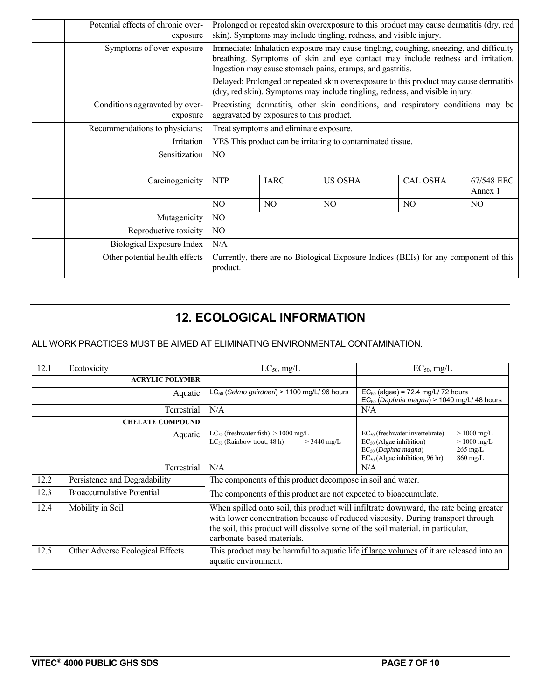| Potential effects of chronic over-<br>exposure |                | Prolonged or repeated skin overexposure to this product may cause dermatitis (dry, red<br>skin). Symptoms may include tingling, redness, and visible injury.                                                                          |                |                 |                       |
|------------------------------------------------|----------------|---------------------------------------------------------------------------------------------------------------------------------------------------------------------------------------------------------------------------------------|----------------|-----------------|-----------------------|
| Symptoms of over-exposure                      |                | Immediate: Inhalation exposure may cause tingling, coughing, sneezing, and difficulty<br>breathing. Symptoms of skin and eye contact may include redness and irritation.<br>Ingestion may cause stomach pains, cramps, and gastritis. |                |                 |                       |
|                                                |                | Delayed: Prolonged or repeated skin overexposure to this product may cause dermatitis<br>(dry, red skin). Symptoms may include tingling, redness, and visible injury.                                                                 |                |                 |                       |
| Conditions aggravated by over-<br>exposure     |                | Preexisting dermatitis, other skin conditions, and respiratory conditions may be<br>aggravated by exposures to this product.                                                                                                          |                |                 |                       |
| Recommendations to physicians:                 |                | Treat symptoms and eliminate exposure.                                                                                                                                                                                                |                |                 |                       |
| Irritation                                     |                | YES This product can be irritating to contaminated tissue.                                                                                                                                                                            |                |                 |                       |
| Sensitization                                  | N <sub>O</sub> |                                                                                                                                                                                                                                       |                |                 |                       |
| Carcinogenicity                                | <b>NTP</b>     | <b>IARC</b>                                                                                                                                                                                                                           | <b>US OSHA</b> | <b>CAL OSHA</b> | 67/548 EEC<br>Annex 1 |
|                                                | NO             | NO                                                                                                                                                                                                                                    | N <sub>O</sub> | N <sub>O</sub>  | N <sub>O</sub>        |
| Mutagenicity                                   | N <sub>O</sub> |                                                                                                                                                                                                                                       |                |                 |                       |
| Reproductive toxicity                          | NO             |                                                                                                                                                                                                                                       |                |                 |                       |
| Biological Exposure Index                      | N/A            |                                                                                                                                                                                                                                       |                |                 |                       |
| Other potential health effects                 | product.       | Currently, there are no Biological Exposure Indices (BEIs) for any component of this                                                                                                                                                  |                |                 |                       |

### **12. ECOLOGICAL INFORMATION**

#### ALL WORK PRACTICES MUST BE AIMED AT ELIMINATING ENVIRONMENTAL CONTAMINATION.

| 12.1 | Ecotoxicity                      | $LC_{50}$ , mg/L                                                                                                                                                                                                                                                                         | $EC_{50}$ , mg/L                                                                                                                                                                                             |
|------|----------------------------------|------------------------------------------------------------------------------------------------------------------------------------------------------------------------------------------------------------------------------------------------------------------------------------------|--------------------------------------------------------------------------------------------------------------------------------------------------------------------------------------------------------------|
|      | <b>ACRYLIC POLYMER</b>           |                                                                                                                                                                                                                                                                                          |                                                                                                                                                                                                              |
|      | Aquatic                          | $LC_{50}$ (Salmo gairdneri) > 1100 mg/L/96 hours                                                                                                                                                                                                                                         | $EC_{50}$ (algae) = 72.4 mg/L/ 72 hours<br>EC <sub>50</sub> (Daphnia magna) > 1040 mg/L/ 48 hours                                                                                                            |
|      | Terrestrial                      | N/A                                                                                                                                                                                                                                                                                      | N/A                                                                                                                                                                                                          |
|      | <b>CHELATE COMPOUND</b>          |                                                                                                                                                                                                                                                                                          |                                                                                                                                                                                                              |
|      | Aquatic                          | $LC_{50}$ (freshwater fish) > 1000 mg/L<br>$LC_{50}$ (Rainbow trout, 48 h)<br>$>$ 3440 mg/L                                                                                                                                                                                              | $EC_{50}$ (freshwater invertebrate)<br>$> 1000$ mg/L<br>$EC_{50}$ (Algae inhibition)<br>$> 1000$ mg/L<br>$EC_{50}$ (Daphna magna)<br>$265 \text{ mg/L}$<br>$EC_{50}$ (Algae inhibition, 96 hr)<br>$860$ mg/L |
|      | Terrestrial                      | N/A                                                                                                                                                                                                                                                                                      | N/A                                                                                                                                                                                                          |
| 12.2 | Persistence and Degradability    | The components of this product decompose in soil and water.                                                                                                                                                                                                                              |                                                                                                                                                                                                              |
| 12.3 | Bioaccumulative Potential        | The components of this product are not expected to bioaccumulate.                                                                                                                                                                                                                        |                                                                                                                                                                                                              |
| 12.4 | Mobility in Soil                 | When spilled onto soil, this product will infiltrate downward, the rate being greater<br>with lower concentration because of reduced viscosity. During transport through<br>the soil, this product will dissolve some of the soil material, in particular,<br>carbonate-based materials. |                                                                                                                                                                                                              |
| 12.5 | Other Adverse Ecological Effects | This product may be harmful to aquatic life if large volumes of it are released into an<br>aquatic environment.                                                                                                                                                                          |                                                                                                                                                                                                              |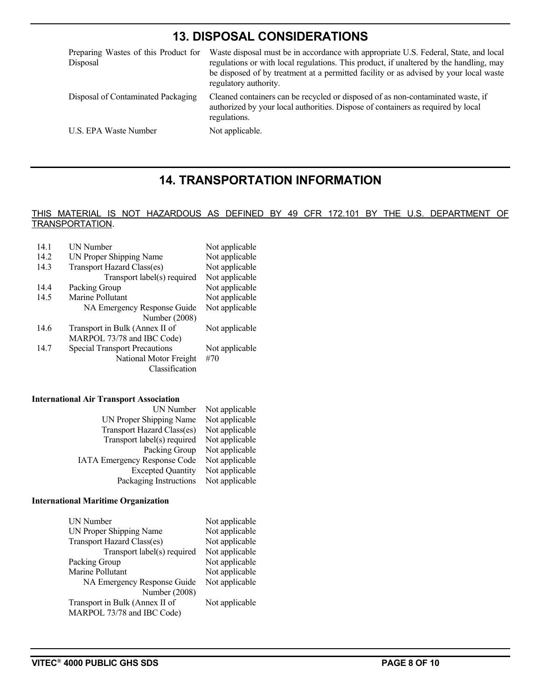#### **13. DISPOSAL CONSIDERATIONS**

| Preparing Wastes of this Product for<br>Disposal | Waste disposal must be in accordance with appropriate U.S. Federal, State, and local<br>regulations or with local regulations. This product, if unaltered by the handling, may<br>be disposed of by treatment at a permitted facility or as advised by your local waste<br>regulatory authority. |
|--------------------------------------------------|--------------------------------------------------------------------------------------------------------------------------------------------------------------------------------------------------------------------------------------------------------------------------------------------------|
| Disposal of Contaminated Packaging               | Cleaned containers can be recycled or disposed of as non-contaminated waste, if<br>authorized by your local authorities. Dispose of containers as required by local<br>regulations.                                                                                                              |
| U.S. EPA Waste Number                            | Not applicable.                                                                                                                                                                                                                                                                                  |

#### **14. TRANSPORTATION INFORMATION**

#### THIS MATERIAL IS NOT HAZARDOUS AS DEFINED BY 49 CFR 172.101 BY THE U.S. DEPARTMENT OF TRANSPORTATION.

| 14.1 | UN Number<br>Not applicable          |                |  |
|------|--------------------------------------|----------------|--|
| 14.2 | UN Proper Shipping Name              | Not applicable |  |
| 14.3 | Transport Hazard Class(es)           | Not applicable |  |
|      | Transport label(s) required          | Not applicable |  |
| 14.4 | Packing Group                        | Not applicable |  |
| 14.5 | Marine Pollutant                     | Not applicable |  |
|      | NA Emergency Response Guide          | Not applicable |  |
|      | Number (2008)                        |                |  |
| 14.6 | Transport in Bulk (Annex II of       | Not applicable |  |
|      | MARPOL 73/78 and IBC Code)           |                |  |
| 14.7 | <b>Special Transport Precautions</b> | Not applicable |  |
|      | National Motor Freight               | #70            |  |
|      | Classification                       |                |  |

#### **International Air Transport Association**

| UN Number                           | Not applicable |
|-------------------------------------|----------------|
| UN Proper Shipping Name             | Not applicable |
| Transport Hazard Class(es)          | Not applicable |
| Transport label(s) required         | Not applicable |
| Packing Group                       | Not applicable |
| <b>IATA Emergency Response Code</b> | Not applicable |
| <b>Excepted Quantity</b>            | Not applicable |
| Packaging Instructions              | Not applicable |

#### **International Maritime Organization**

| UN Number                      | Not applicable |
|--------------------------------|----------------|
| UN Proper Shipping Name        | Not applicable |
| Transport Hazard Class(es)     | Not applicable |
| Transport label(s) required    | Not applicable |
| Packing Group                  | Not applicable |
| Marine Pollutant               | Not applicable |
| NA Emergency Response Guide    | Not applicable |
| Number (2008)                  |                |
| Transport in Bulk (Annex II of | Not applicable |
| MARPOL 73/78 and IBC Code)     |                |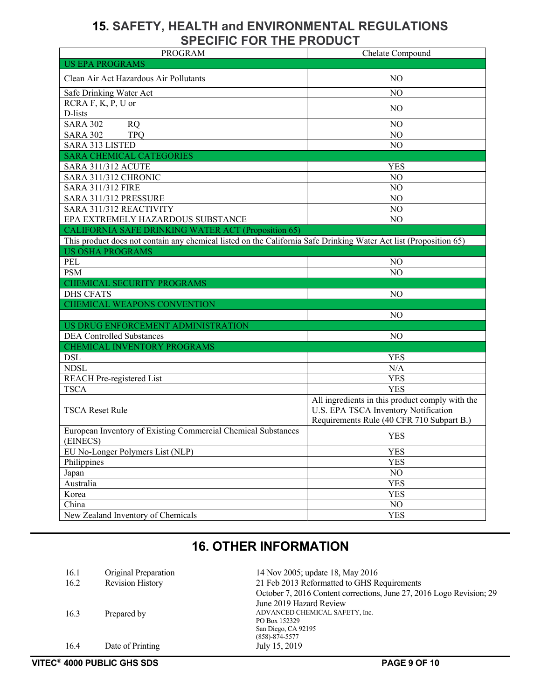#### **15. SAFETY, HEALTH and ENVIRONMENTAL REGULATIONS SPECIFIC FOR THE PRODUCT**

| <b>PROGRAM</b>                                                                                                                               | Chelate Compound                                                                        |
|----------------------------------------------------------------------------------------------------------------------------------------------|-----------------------------------------------------------------------------------------|
| <b>US EPA PROGRAMS</b>                                                                                                                       |                                                                                         |
| Clean Air Act Hazardous Air Pollutants                                                                                                       | N <sub>O</sub>                                                                          |
| Safe Drinking Water Act                                                                                                                      | N <sub>O</sub>                                                                          |
| RCRA F, K, P, U or                                                                                                                           | N <sub>O</sub>                                                                          |
| D-lists                                                                                                                                      |                                                                                         |
| <b>SARA 302</b><br><b>RQ</b>                                                                                                                 | NO                                                                                      |
| <b>SARA 302</b><br><b>TPO</b>                                                                                                                | NO                                                                                      |
| SARA 313 LISTED                                                                                                                              | NO                                                                                      |
| <b>SARA CHEMICAL CATEGORIES</b>                                                                                                              |                                                                                         |
| <b>SARA 311/312 ACUTE</b>                                                                                                                    | <b>YES</b>                                                                              |
| SARA 311/312 CHRONIC                                                                                                                         | NO                                                                                      |
| <b>SARA 311/312 FIRE</b>                                                                                                                     | $\rm NO$                                                                                |
| SARA 311/312 PRESSURE                                                                                                                        | NO                                                                                      |
| SARA 311/312 REACTIVITY                                                                                                                      | NO                                                                                      |
| EPA EXTREMELY HAZARDOUS SUBSTANCE                                                                                                            | NO                                                                                      |
| <b>CALIFORNIA SAFE DRINKING WATER ACT (Proposition 65)</b>                                                                                   |                                                                                         |
| This product does not contain any chemical listed on the California Safe Drinking Water Act list (Proposition 65)<br><b>US OSHA PROGRAMS</b> |                                                                                         |
| PEL                                                                                                                                          | N <sub>O</sub>                                                                          |
| <b>PSM</b>                                                                                                                                   | NO                                                                                      |
| CHEMICAL SECURITY PROGRAMS                                                                                                                   |                                                                                         |
| <b>DHS CFATS</b>                                                                                                                             | N <sub>O</sub>                                                                          |
| CHEMICAL WEAPONS CONVENTION                                                                                                                  |                                                                                         |
|                                                                                                                                              | N <sub>O</sub>                                                                          |
| US DRUG ENFORCEMENT ADMINISTRATION                                                                                                           |                                                                                         |
| <b>DEA Controlled Substances</b>                                                                                                             | N <sub>O</sub>                                                                          |
| CHEMICAL INVENTORY PROGRAMS                                                                                                                  |                                                                                         |
| <b>DSL</b>                                                                                                                                   | <b>YES</b>                                                                              |
| <b>NDSL</b>                                                                                                                                  | N/A                                                                                     |
| <b>REACH Pre-registered List</b>                                                                                                             | <b>YES</b>                                                                              |
| <b>TSCA</b>                                                                                                                                  | <b>YES</b>                                                                              |
| <b>TSCA Reset Rule</b>                                                                                                                       | All ingredients in this product comply with the<br>U.S. EPA TSCA Inventory Notification |
|                                                                                                                                              | Requirements Rule (40 CFR 710 Subpart B.)                                               |
| European Inventory of Existing Commercial Chemical Substances                                                                                |                                                                                         |
| (EINECS)                                                                                                                                     | <b>YES</b>                                                                              |
| EU No-Longer Polymers List (NLP)                                                                                                             | <b>YES</b>                                                                              |
| Philippines                                                                                                                                  | <b>YES</b>                                                                              |
| Japan                                                                                                                                        | NO                                                                                      |
| Australia                                                                                                                                    | <b>YES</b>                                                                              |
| Korea                                                                                                                                        | <b>YES</b>                                                                              |
| China                                                                                                                                        | NO                                                                                      |
| New Zealand Inventory of Chemicals                                                                                                           | <b>YES</b>                                                                              |

### **16. OTHER INFORMATION**

| 16.1 | Original Preparation | 14 Nov 2005; update 18, May 2016                                     |
|------|----------------------|----------------------------------------------------------------------|
| 16.2 | Revision History     | 21 Feb 2013 Reformatted to GHS Requirements                          |
|      |                      | October 7, 2016 Content corrections, June 27, 2016 Logo Revision; 29 |
|      |                      | June 2019 Hazard Review                                              |
| 16.3 | Prepared by          | ADVANCED CHEMICAL SAFETY, Inc.                                       |
|      |                      | PO Box 152329                                                        |
|      |                      | San Diego, CA 92195                                                  |
|      |                      | $(858) - 874 - 5577$                                                 |
| 16.4 | Date of Printing     | July 15, 2019                                                        |